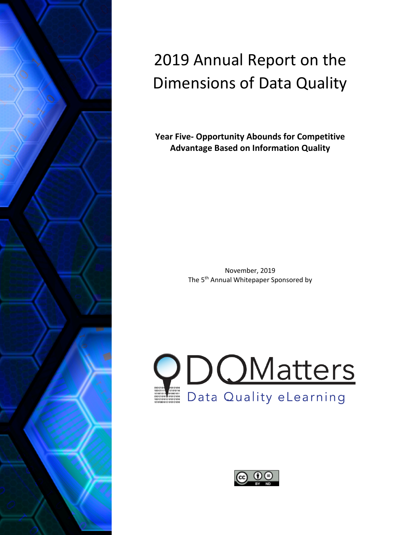

# 2019 Annual Report on the Dimensions of Data Quality

**Year Five- Opportunity Abounds for Competitive Advantage Based on Information Quality**

> November, 2019 The 5<sup>th</sup> Annual Whitepaper Sponsored by



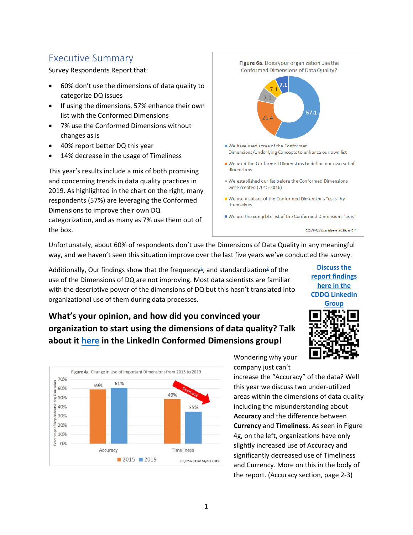### Executive Summary

Survey Respondents Report that:

- 60% don't use the dimensions of data quality to categorize DQ issues
- If using the dimensions, 57% enhance their own list with the Conformed Dimensions
- 7% use the Conformed Dimensions without changes as is
- 40% report better DQ this year
- 14% decrease in the usage of Timeliness

This year's results include a mix of both promising and concerning trends in data quality practices in 2019. As highlighted in the chart on the right, many respondents (57%) are leveraging the Conformed Dimensions to improve their own DQ categorization, and as many as 7% use them out of the box.



Unfortunately, about 60% of respondents don't use the Dimensions of Data Quality in any meaningful way, and we haven't seen this situation improve over the last five years we've conducted the survey.

1

Additionally, Our findings show that the frequency<sup>1</sup>, and standardization<sup>2</sup> of the use of the Dimensions of DQ are not improving. Most data scientists are familiar with the descriptive power of the dimensions of DQ but this hasn't translated into organizational use of them during data processes.

### **What's your opinion, and how did you convinced your organization to start using the dimensions of data quality? Talk about it [here](http://dqm.mx/addq19-rpt-2-ln-grp) in the LinkedIn Conformed Dimensions group!**



Wondering why your company just can't

increase the "Accuracy" of the data? Well this year we discuss two under-utilized areas within the dimensions of data quality including the misunderstanding about **Accuracy** and the difference between **Currency** and **Timeliness**. As seen in Figure 4g, on the left, organizations have only slightly increased use of Accuracy and significantly decreased use of Timeliness and Currency. More on this in the body of the report. (Accuracy section, page 2-3)

**[Discuss the](http://dqm.mx/addq19-rpt-2-ln-grp)  [report findings](http://dqm.mx/addq19-rpt-2-ln-grp)  [here in the](http://dqm.mx/addq19-rpt-2-ln-grp)  [CDDQ LinkedIn](http://dqm.mx/addq19-rpt-2-ln-grp)  [Group](http://dqm.mx/addq19-rpt-2-ln-grp)**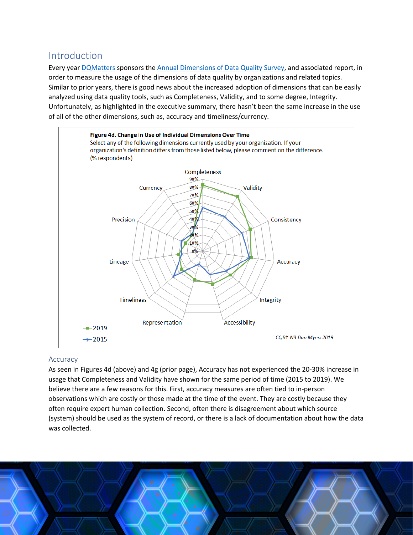### Introduction

Every year [DQMatters](http://dqmatters.com/) sponsors the [Annual Dimensions of Data Quality Survey,](http://dimensionsofdataquality.com/dims_survey) and associated report, in order to measure the usage of the dimensions of data quality by organizations and related topics. Similar to prior years, there is good news about the increased adoption of dimensions that can be easily analyzed using data quality tools, such as Completeness, Validity, and to some degree, Integrity. Unfortunately, as highlighted in the executive summary, there hasn't been the same increase in the use of all of the other dimensions, such as, accuracy and timeliness/currency.



#### Accuracy

As seen in Figures 4d (above) and 4g (prior page), Accuracy has not experienced the 20-30% increase in usage that Completeness and Validity have shown for the same period of time (2015 to 2019). We believe there are a few reasons for this. First, accuracy measures are often tied to in-person observations which are costly or those made at the time of the event. They are costly because they often require expert human collection. Second, often there is disagreement about which source (system) should be used as the system of record, or there is a lack of documentation about how the data was collected.

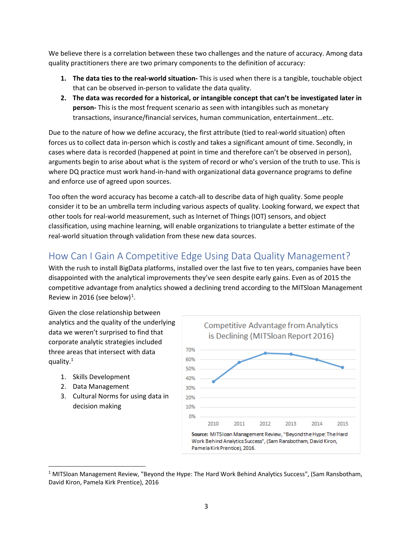We believe there is a correlation between these two challenges and the nature of accuracy. Among data quality practitioners there are two primary components to the definition of accuracy:

- **1. The data ties to the real-world situation-** This is used when there is a tangible, touchable object that can be observed in-person to validate the data quality.
- **2. The data was recorded for a historical, or intangible concept that can't be investigated later in person-** This is the most frequent scenario as seen with intangibles such as monetary transactions, insurance/financial services, human communication, entertainment…etc.

Due to the nature of how we define accuracy, the first attribute (tied to real-world situation) often forces us to collect data in-person which is costly and takes a significant amount of time. Secondly, in cases where data is recorded (happened at point in time and therefore can't be observed in person), arguments begin to arise about what is the system of record or who's version of the truth to use. This is where DQ practice must work hand-in-hand with organizational data governance programs to define and enforce use of agreed upon sources.

Too often the word accuracy has become a catch-all to describe data of high quality. Some people consider it to be an umbrella term including various aspects of quality. Looking forward, we expect that other tools for real-world measurement, such as Internet of Things (IOT) sensors, and object classification, using machine learning, will enable organizations to triangulate a better estimate of the real-world situation through validation from these new data sources.

# How Can I Gain A Competitive Edge Using Data Quality Management?

With the rush to install BigData platforms, installed over the last five to ten years, companies have been disappointed with the analytical improvements they've seen despite early gains. Even as of 2015 the competitive advantage from analytics showed a declining trend according to the MITSloan Management Review in 20[1](#page-3-0)6 (see below)<sup>1</sup>.

Given the close relationship between analytics and the quality of the underlying data we weren't surprised to find that corporate analytic strategies included three areas that intersect with data quality.1

- 1. Skills Development
- 2. Data Management
- 3. Cultural Norms for using data in decision making



<span id="page-3-0"></span><sup>&</sup>lt;sup>1</sup> MITSloan Management Review, "Beyond the Hype: The Hard Work Behind Analytics Success", (Sam Ransbotham, David Kiron, Pamela Kirk Prentice), 2016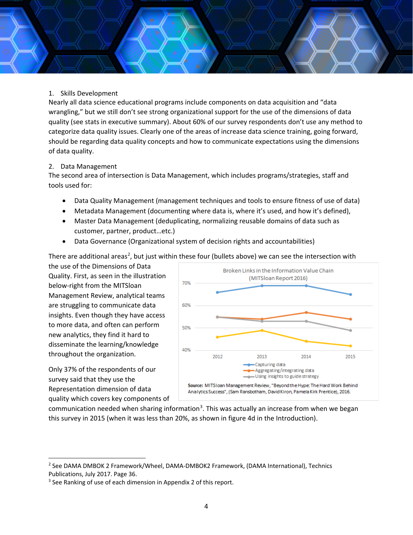#### 1. Skills Development

Nearly all data science educational programs include components on data acquisition and "data wrangling," but we still don't see strong organizational support for the use of the dimensions of data quality (see stats in executive summary). About 60% of our survey respondents don't use any method to categorize data quality issues. Clearly one of the areas of increase data science training, going forward, should be regarding data quality concepts and how to communicate expectations using the dimensions of data quality.

#### 2. Data Management

The second area of intersection is Data Management, which includes programs/strategies, staff and tools used for:

- Data Quality Management (management techniques and tools to ensure fitness of use of data)
- Metadata Management (documenting where data is, where it's used, and how it's defined),
- Master Data Management (deduplicating, normalizing reusable domains of data such as customer, partner, product…etc.)
- Data Governance (Organizational system of decision rights and accountabilities)

There are additional areas<sup>[2](#page-4-0)</sup>, but just within these four (bullets above) we can see the intersection with

the use of the Dimensions of Data Quality. First, as seen in the illustration below-right from the MITSloan Management Review, analytical teams are struggling to communicate data insights. Even though they have access to more data, and often can perform new analytics, they find it hard to disseminate the learning/knowledge throughout the organization.

Only 37% of the respondents of our survey said that they use the Representation dimension of data quality which covers key components of



communication needed when sharing information<sup>[3](#page-4-1)</sup>. This was actually an increase from when we began this survey in 2015 (when it was less than 20%, as shown in figure 4d in the Introduction).

<span id="page-4-0"></span><sup>2</sup> See DAMA DMBOK 2 Framework/Wheel, DAMA-DMBOK2 Framework, (DAMA International), Technics Publications, July 2017. Page 36.

<span id="page-4-1"></span><sup>&</sup>lt;sup>3</sup> See Ranking of use of each dimension in Appendix 2 of this report.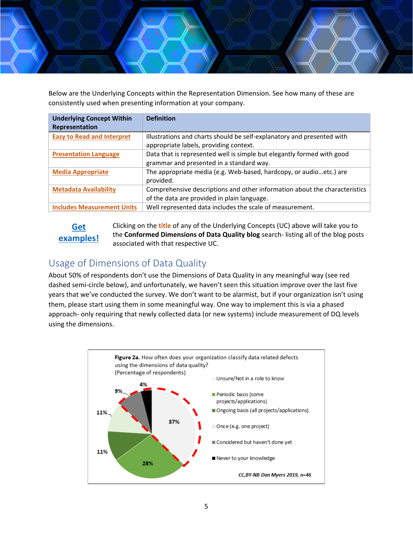

Below are the Underlying Concepts within the Representation Dimension. See how many of these are consistently used when presenting information at your company.

| <b>Underlying Concept Within</b><br>Representation | <b>Definition</b>                                                          |
|----------------------------------------------------|----------------------------------------------------------------------------|
| <b>Easy to Read and Interpret</b>                  | Illustrations and charts should be self-explanatory and presented with     |
|                                                    | appropriate labels, providing context.                                     |
| <b>Presentation Language</b>                       | Data that is represented well is simple but elegantly formed with good     |
|                                                    | grammar and presented in a standard way.                                   |
| <b>Media Appropriate</b>                           | The appropriate media (e.g. Web-based, hardcopy, or audioetc.) are         |
|                                                    | provided.                                                                  |
| <b>Metadata Availability</b>                       | Comprehensive descriptions and other information about the characteristics |
|                                                    | of the data are provided in plain language.                                |
| <b>Includes Measurement Units</b>                  | Well represented data includes the scale of measurement.                   |

### **[Get](http://dimensionsofdataquality.com/blog)  [examples!](http://dimensionsofdataquality.com/blog)**

Clicking on the **title** of any of the Underlying Concepts (UC) above will take you to the **Conformed Dimensions of Data Quality blog** search- listing all of the blog posts associated with that respective UC.

# <span id="page-5-0"></span>Usage of Dimensions of Data Quality

About 50% of respondents don't use the Dimensions of Data Quality in any meaningful way (see red dashed semi-circle below), and unfortunately, we haven't seen this situation improve over the last five years that we've conducted the survey. We don't want to be alarmist, but if your organization isn't using them, please start using them in some meaningful way. One way to implement this is via a phased approach- only requiring that newly collected data (or new systems) include measurement of DQ levels using the dimensions.

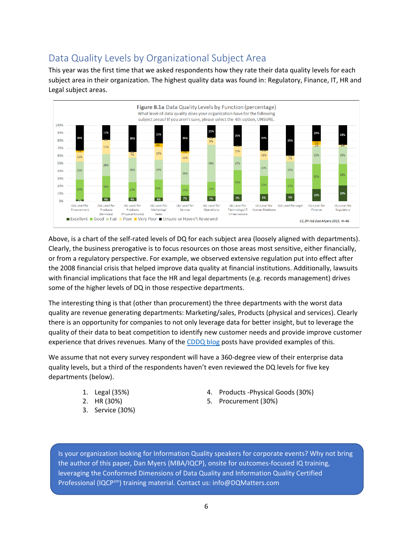# Data Quality Levels by Organizational Subject Area

This year was the first time that we asked respondents how they rate their data quality levels for each subject area in their organization. The highest quality data was found in: Regulatory, Finance, IT, HR and Legal subject areas.



Above, is a chart of the self-rated levels of DQ for each subject area (loosely aligned with departments). Clearly, the business prerogative is to focus resources on those areas most sensitive, either financially, or from a regulatory perspective. For example, we observed extensive regulation put into effect after the 2008 financial crisis that helped improve data quality at financial institutions. Additionally, lawsuits with financial implications that face the HR and legal departments (e.g. records management) drives some of the higher levels of DQ in those respective departments.

The interesting thing is that (other than procurement) the three departments with the worst data quality are revenue generating departments: Marketing/sales, Products (physical and services). Clearly there is an opportunity for companies to not only leverage data for better insight, but to leverage the quality of their data to beat competition to identify new customer needs and provide improve customer experience that drives revenues. Many of the [CDDQ blog](http://dimensionsofdataquality.com/blog) posts have provided examples of this.

We assume that not every survey respondent will have a 360-degree view of their enterprise data quality levels, but a third of the respondents haven't even reviewed the DQ levels for five key departments (below).

- 1. Legal (35%)
- 2. HR (30%)
- 3. Service (30%)
- 4. Products -Physical Goods (30%)
- 5. Procurement (30%)

Is your organization looking for Information Quality speakers for corporate events? Why not bring the author of this paper, Dan Myers (MBA/IQCP), onsite for outcomes-focused IQ training, leveraging the Conformed Dimensions of Data Quality and Information Quality Certified Professional (IQCP<sup>sm</sup>) training material. Contact us: info@DQMatters.com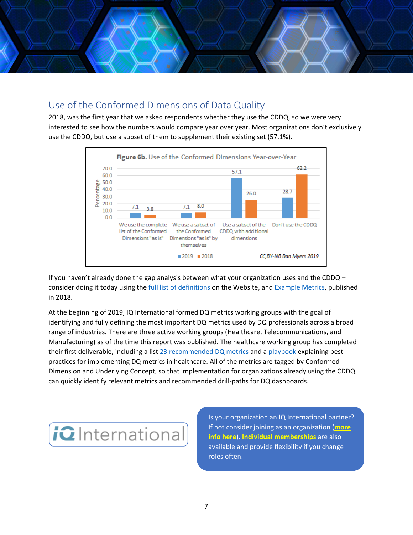

### Use of the Conformed Dimensions of Data Quality

2018, was the first year that we asked respondents whether they use the CDDQ, so we were very interested to see how the numbers would compare year over year. Most organizations don't exclusively use the CDDQ, but use a subset of them to supplement their existing set (57.1%).



If you haven't already done the gap analysis between what your organization uses and the CDDQ – consider doing it today using the full list of [definitions](http://dimensionsofdataquality.com/content/list-underlying-concepts) on the Website, and [Example Metrics,](http://dqm.mx/addq19-paper-2-metrics-examples) published in 2018.

At the beginning of 2019, IQ International formed DQ metrics working groups with the goal of identifying and fully defining the most important DQ metrics used by DQ professionals across a broad range of industries. There are three active working groups (Healthcare, Telecommunications, and Manufacturing) as of the time this report was published. The healthcare working group has completed their first deliverable, including a list [23 recommended DQ metrics](https://www.iqint.org/publication/dq-metrics-healthcare-playbook) and a [playbook](https://www.iqint.org/publication/dq-metrics-healthcare-playbook) explaining best practices for implementing DQ metrics in healthcare. All of the metrics are tagged by Conformed Dimension and Underlying Concept, so that implementation for organizations already using the CDDQ can quickly identify relevant metrics and recommended drill-paths for DQ dashboards.



Is your organization an IQ International partner? If not consider joining as an organization (**[more](https://www.iqint.org/membership/become-a-member/multiple-membership)  [info here](https://www.iqint.org/membership/become-a-member/multiple-membership)**). **[Individual memberships](https://www.iqint.org/membership/become-a-member/multiple-membership)** are also available and provide flexibility if you change roles often.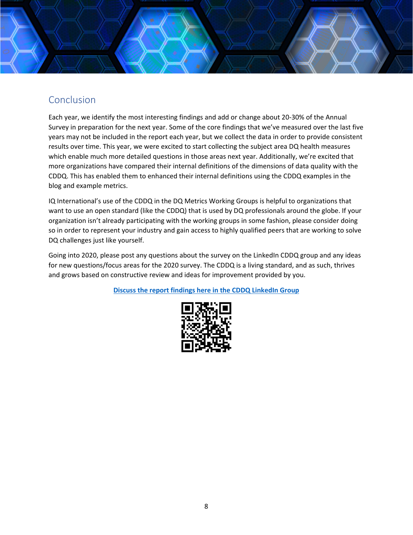

# Conclusion

Each year, we identify the most interesting findings and add or change about 20-30% of the Annual Survey in preparation for the next year. Some of the core findings that we've measured over the last five years may not be included in the report each year, but we collect the data in order to provide consistent results over time. This year, we were excited to start collecting the subject area DQ health measures which enable much more detailed questions in those areas next year. Additionally, we're excited that more organizations have compared their internal definitions of the dimensions of data quality with the CDDQ. This has enabled them to enhanced their internal definitions using the CDDQ examples in the blog and example metrics.

IQ International's use of the CDDQ in the DQ Metrics Working Groups is helpful to organizations that want to use an open standard (like the CDDQ) that is used by DQ professionals around the globe. If your organization isn't already participating with the working groups in some fashion, please consider doing so in order to represent your industry and gain access to highly qualified peers that are working to solve DQ challenges just like yourself.

Going into 2020, please post any questions about the survey on the LinkedIn CDDQ group and any ideas for new questions/focus areas for the 2020 survey. The CDDQ is a living standard, and as such, thrives and grows based on constructive review and ideas for improvement provided by you.

**[Discuss the report findings here in the CDDQ LinkedIn Group](http://dqm.mx/addq19-rpt-2-ln-grp)**